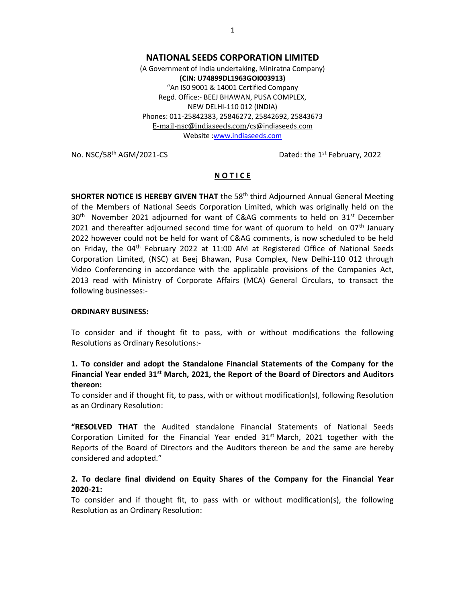## NATIONAL SEEDS CORPORATION LIMITED

(A Government of India undertaking, Miniratna Company) (CIN: U74899DL1963GOI003913) "An IS0 9001 & 14001 Certified Company Regd. Office:- BEEJ BHAWAN, PUSA COMPLEX, NEW DELHI-110 012 (INDIA) Phones: 011-25842383, 25846272, 25842692, 25843673 E-mail-nsc@indiaseeds.com/cs@indiaseeds.com Website :www.indiaseeds.com

No. NSC/58<sup>th</sup> AGM/2021-CS Dated: the 1<sup>st</sup> February, 2022

## **NOTICE**

**SHORTER NOTICE IS HEREBY GIVEN THAT** the 58<sup>th</sup> third Adjourned Annual General Meeting of the Members of National Seeds Corporation Limited, which was originally held on the 30<sup>th</sup> November 2021 adjourned for want of C&AG comments to held on 31<sup>st</sup> December 2021 and thereafter adjourned second time for want of quorum to held on  $07<sup>th</sup>$  January 2022 however could not be held for want of C&AG comments, is now scheduled to be held on Friday, the  $04<sup>th</sup>$  February 2022 at 11:00 AM at Registered Office of National Seeds Corporation Limited, (NSC) at Beej Bhawan, Pusa Complex, New Delhi-110 012 through Video Conferencing in accordance with the applicable provisions of the Companies Act, 2013 read with Ministry of Corporate Affairs (MCA) General Circulars, to transact the following businesses:-

### ORDINARY BUSINESS:

To consider and if thought fit to pass, with or without modifications the following Resolutions as Ordinary Resolutions:-

# 1. To consider and adopt the Standalone Financial Statements of the Company for the Financial Year ended  $31<sup>st</sup>$  March, 2021, the Report of the Board of Directors and Auditors thereon:

To consider and if thought fit, to pass, with or without modification(s), following Resolution as an Ordinary Resolution:

"RESOLVED THAT the Audited standalone Financial Statements of National Seeds Corporation Limited for the Financial Year ended  $31<sup>st</sup>$  March, 2021 together with the Reports of the Board of Directors and the Auditors thereon be and the same are hereby considered and adopted."

## 2. To declare final dividend on Equity Shares of the Company for the Financial Year 2020-21:

To consider and if thought fit, to pass with or without modification(s), the following Resolution as an Ordinary Resolution: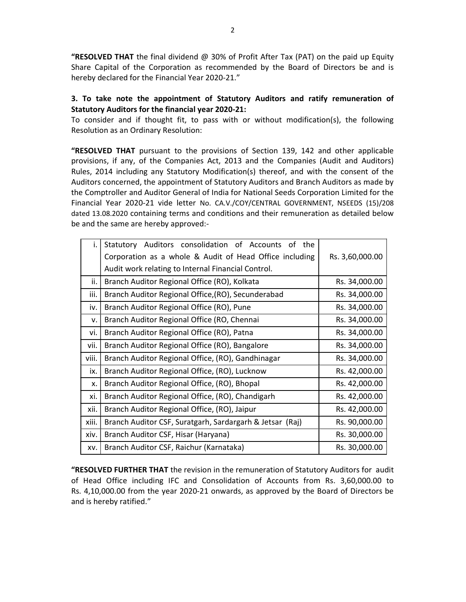**"RESOLVED THAT** the final dividend  $\oslash \oslash$  30% of Profit After Tax (PAT) on the paid up Equity Share Capital of the Corporation as recommended by the Board of Directors be and is hereby declared for the Financial Year 2020-21."

## 3. To take note the appointment of Statutory Auditors and ratify remuneration of Statutory Auditors for the financial year 2020-21:

To consider and if thought fit, to pass with or without modification(s), the following Resolution as an Ordinary Resolution:

**"RESOLVED THAT** pursuant to the provisions of Section 139, 142 and other applicable provisions, if any, of the Companies Act, 2013 and the Companies (Audit and Auditors) Rules, 2014 including any Statutory Modification(s) thereof, and with the consent of the Auditors concerned, the appointment of Statutory Auditors and Branch Auditors as made by the Comptroller and Auditor General of India for National Seeds Corporation Limited for the Financial Year 2020-21 vide letter No. CA.V./COY/CENTRAL GOVERNMENT, NSEEDS (15)/208 dated 13.08.2020 containing terms and conditions and their remuneration as detailed below be and the same are hereby approved:-

| i.    | Statutory Auditors consolidation of Accounts of the      |                 |
|-------|----------------------------------------------------------|-----------------|
|       | Corporation as a whole & Audit of Head Office including  | Rs. 3,60,000.00 |
|       | Audit work relating to Internal Financial Control.       |                 |
| ii.   | Branch Auditor Regional Office (RO), Kolkata             | Rs. 34,000.00   |
| iii.  | Branch Auditor Regional Office, (RO), Secunderabad       | Rs. 34,000.00   |
| iv.   | Branch Auditor Regional Office (RO), Pune                | Rs. 34,000.00   |
| v.    | Branch Auditor Regional Office (RO, Chennai              | Rs. 34,000.00   |
| vi.   | Branch Auditor Regional Office (RO), Patna               | Rs. 34,000.00   |
| vii.  | Branch Auditor Regional Office (RO), Bangalore           | Rs. 34,000.00   |
| viii. | Branch Auditor Regional Office, (RO), Gandhinagar        | Rs. 34,000.00   |
| ix.   | Branch Auditor Regional Office, (RO), Lucknow            | Rs. 42,000.00   |
| X.    | Branch Auditor Regional Office, (RO), Bhopal             | Rs. 42,000.00   |
| xi.   | Branch Auditor Regional Office, (RO), Chandigarh         | Rs. 42,000.00   |
| xii.  | Branch Auditor Regional Office, (RO), Jaipur             | Rs. 42,000.00   |
| xiii. | Branch Auditor CSF, Suratgarh, Sardargarh & Jetsar (Raj) | Rs. 90,000.00   |
| xiv.  | Branch Auditor CSF, Hisar (Haryana)                      | Rs. 30,000.00   |
| XV.   | Branch Auditor CSF, Raichur (Karnataka)                  | Rs. 30,000.00   |

"RESOLVED FURTHER THAT the revision in the remuneration of Statutory Auditors for audit of Head Office including IFC and Consolidation of Accounts from Rs. 3,60,000.00 to Rs. 4,10,000.00 from the year 2020-21 onwards, as approved by the Board of Directors be and is hereby ratified."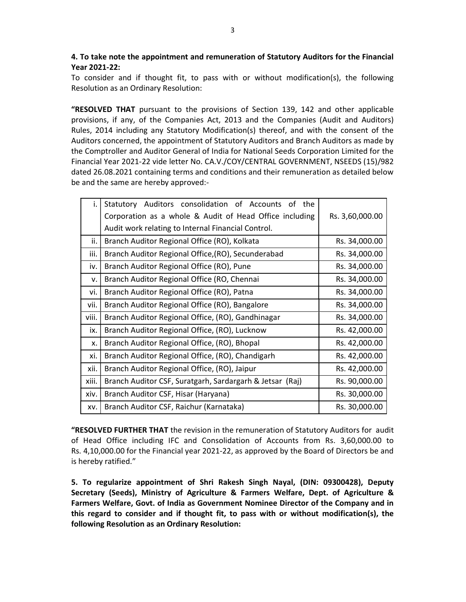# 4. To take note the appointment and remuneration of Statutory Auditors for the Financial Year 2021-22:

To consider and if thought fit, to pass with or without modification(s), the following Resolution as an Ordinary Resolution:

"RESOLVED THAT pursuant to the provisions of Section 139, 142 and other applicable provisions, if any, of the Companies Act, 2013 and the Companies (Audit and Auditors) Rules, 2014 including any Statutory Modification(s) thereof, and with the consent of the Auditors concerned, the appointment of Statutory Auditors and Branch Auditors as made by the Comptroller and Auditor General of India for National Seeds Corporation Limited for the Financial Year 2021-22 vide letter No. CA.V./COY/CENTRAL GOVERNMENT, NSEEDS (15)/982 dated 26.08.2021 containing terms and conditions and their remuneration as detailed below be and the same are hereby approved:-

| i.    | Statutory Auditors consolidation of Accounts of the      |                 |
|-------|----------------------------------------------------------|-----------------|
|       | Corporation as a whole & Audit of Head Office including  | Rs. 3,60,000.00 |
|       | Audit work relating to Internal Financial Control.       |                 |
| ii.   | Branch Auditor Regional Office (RO), Kolkata             | Rs. 34,000.00   |
| iii.  | Branch Auditor Regional Office, (RO), Secunderabad       | Rs. 34,000.00   |
| iv.   | Branch Auditor Regional Office (RO), Pune                | Rs. 34,000.00   |
| v.    | Branch Auditor Regional Office (RO, Chennai              | Rs. 34,000.00   |
| vi.   | Branch Auditor Regional Office (RO), Patna               | Rs. 34,000.00   |
| vii.  | Branch Auditor Regional Office (RO), Bangalore           | Rs. 34,000.00   |
| viii. | Branch Auditor Regional Office, (RO), Gandhinagar        | Rs. 34,000.00   |
| ix.   | Branch Auditor Regional Office, (RO), Lucknow            | Rs. 42,000.00   |
| X.    | Branch Auditor Regional Office, (RO), Bhopal             | Rs. 42,000.00   |
| xi.   | Branch Auditor Regional Office, (RO), Chandigarh         | Rs. 42,000.00   |
| xii.  | Branch Auditor Regional Office, (RO), Jaipur             | Rs. 42,000.00   |
| xiii. | Branch Auditor CSF, Suratgarh, Sardargarh & Jetsar (Raj) | Rs. 90,000.00   |
| xiv.  | Branch Auditor CSF, Hisar (Haryana)                      | Rs. 30,000.00   |
| XV.   | Branch Auditor CSF, Raichur (Karnataka)                  | Rs. 30,000.00   |

"RESOLVED FURTHER THAT the revision in the remuneration of Statutory Auditors for audit of Head Office including IFC and Consolidation of Accounts from Rs. 3,60,000.00 to Rs. 4,10,000.00 for the Financial year 2021-22, as approved by the Board of Directors be and is hereby ratified."

5. To regularize appointment of Shri Rakesh Singh Nayal, (DIN: 09300428), Deputy Secretary (Seeds), Ministry of Agriculture & Farmers Welfare, Dept. of Agriculture & Farmers Welfare, Govt. of India as Government Nominee Director of the Company and in this regard to consider and if thought fit, to pass with or without modification(s), the following Resolution as an Ordinary Resolution: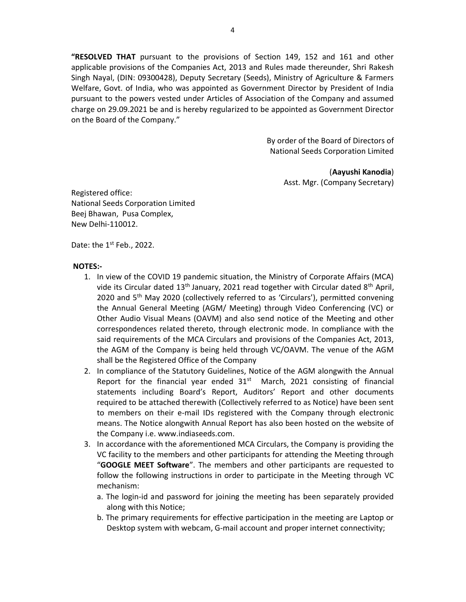"RESOLVED THAT pursuant to the provisions of Section 149, 152 and 161 and other applicable provisions of the Companies Act, 2013 and Rules made thereunder, Shri Rakesh Singh Nayal, (DIN: 09300428), Deputy Secretary (Seeds), Ministry of Agriculture & Farmers Welfare, Govt. of India, who was appointed as Government Director by President of India pursuant to the powers vested under Articles of Association of the Company and assumed charge on 29.09.2021 be and is hereby regularized to be appointed as Government Director on the Board of the Company."

> By order of the Board of Directors of National Seeds Corporation Limited

> > (Aayushi Kanodia) Asst. Mgr. (Company Secretary)

Registered office: National Seeds Corporation Limited Beej Bhawan, Pusa Complex, New Delhi-110012.

Date: the  $1<sup>st</sup>$  Feb., 2022.

#### NOTES:-

- 1. In view of the COVID 19 pandemic situation, the Ministry of Corporate Affairs (MCA) vide its Circular dated  $13<sup>th</sup>$  January, 2021 read together with Circular dated  $8<sup>th</sup>$  April, 2020 and  $5<sup>th</sup>$  May 2020 (collectively referred to as 'Circulars'), permitted convening the Annual General Meeting (AGM/ Meeting) through Video Conferencing (VC) or Other Audio Visual Means (OAVM) and also send notice of the Meeting and other correspondences related thereto, through electronic mode. In compliance with the said requirements of the MCA Circulars and provisions of the Companies Act, 2013, the AGM of the Company is being held through VC/OAVM. The venue of the AGM shall be the Registered Office of the Company
- 2. In compliance of the Statutory Guidelines, Notice of the AGM alongwith the Annual Report for the financial year ended  $31<sup>st</sup>$  March, 2021 consisting of financial statements including Board's Report, Auditors' Report and other documents required to be attached therewith (Collectively referred to as Notice) have been sent to members on their e-mail IDs registered with the Company through electronic means. The Notice alongwith Annual Report has also been hosted on the website of the Company i.e. www.indiaseeds.com.
- 3. In accordance with the aforementioned MCA Circulars, the Company is providing the VC facility to the members and other participants for attending the Meeting through "GOOGLE MEET Software". The members and other participants are requested to follow the following instructions in order to participate in the Meeting through VC mechanism:
	- a. The login-id and password for joining the meeting has been separately provided along with this Notice;
	- b. The primary requirements for effective participation in the meeting are Laptop or Desktop system with webcam, G-mail account and proper internet connectivity;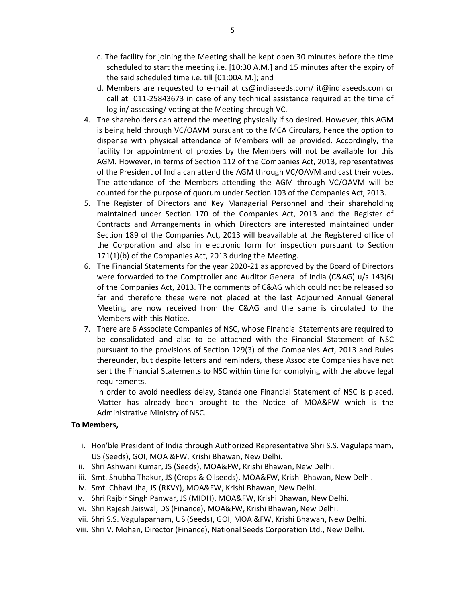- c. The facility for joining the Meeting shall be kept open 30 minutes before the time scheduled to start the meeting i.e. [10:30 A.M.] and 15 minutes after the expiry of the said scheduled time i.e. till [01:00A.M.]; and
- d. Members are requested to e-mail at cs@indiaseeds.com/ it@indiaseeds.com or call at 011-25843673 in case of any technical assistance required at the time of log in/ assessing/ voting at the Meeting through VC.
- 4. The shareholders can attend the meeting physically if so desired. However, this AGM is being held through VC/OAVM pursuant to the MCA Circulars, hence the option to dispense with physical attendance of Members will be provided. Accordingly, the facility for appointment of proxies by the Members will not be available for this AGM. However, in terms of Section 112 of the Companies Act, 2013, representatives of the President of India can attend the AGM through VC/OAVM and cast their votes. The attendance of the Members attending the AGM through VC/OAVM will be counted for the purpose of quorum under Section 103 of the Companies Act, 2013.
- 5. The Register of Directors and Key Managerial Personnel and their shareholding maintained under Section 170 of the Companies Act, 2013 and the Register of Contracts and Arrangements in which Directors are interested maintained under Section 189 of the Companies Act, 2013 will beavailable at the Registered office of the Corporation and also in electronic form for inspection pursuant to Section 171(1)(b) of the Companies Act, 2013 during the Meeting.
- 6. The Financial Statements for the year 2020-21 as approved by the Board of Directors were forwarded to the Comptroller and Auditor General of India (C&AG) u/s 143(6) of the Companies Act, 2013. The comments of C&AG which could not be released so far and therefore these were not placed at the last Adjourned Annual General Meeting are now received from the C&AG and the same is circulated to the Members with this Notice.
- 7. There are 6 Associate Companies of NSC, whose Financial Statements are required to be consolidated and also to be attached with the Financial Statement of NSC pursuant to the provisions of Section 129(3) of the Companies Act, 2013 and Rules thereunder, but despite letters and reminders, these Associate Companies have not sent the Financial Statements to NSC within time for complying with the above legal requirements.

In order to avoid needless delay, Standalone Financial Statement of NSC is placed. Matter has already been brought to the Notice of MOA&FW which is the Administrative Ministry of NSC.

### To Members,

- i. Hon'ble President of India through Authorized Representative Shri S.S. Vagulaparnam, US (Seeds), GOI, MOA &FW, Krishi Bhawan, New Delhi.
- ii. Shri Ashwani Kumar, JS (Seeds), MOA&FW, Krishi Bhawan, New Delhi.
- iii. Smt. Shubha Thakur, JS (Crops & Oilseeds), MOA&FW, Krishi Bhawan, New Delhi.
- iv. Smt. Chhavi Jha, JS (RKVY), MOA&FW, Krishi Bhawan, New Delhi.
- v. Shri Rajbir Singh Panwar, JS (MIDH), MOA&FW, Krishi Bhawan, New Delhi.
- vi. Shri Rajesh Jaiswal, DS (Finance), MOA&FW, Krishi Bhawan, New Delhi.
- vii. Shri S.S. Vagulaparnam, US (Seeds), GOI, MOA &FW, Krishi Bhawan, New Delhi.
- viii. Shri V. Mohan, Director (Finance), National Seeds Corporation Ltd., New Delhi.